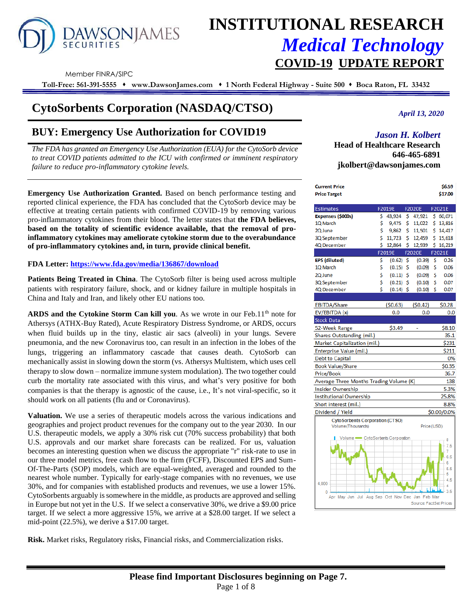

# **INSTITUTIONAL RESEARCH** *Medical Technology* **COVID-19 UPDATE REPORT**

Member FINRA/SIPC

**Toll-Free: 561-391-5555** ⬧ **www.DawsonJames.com** ⬧ **1 North Federal Highway - Suite 500** ⬧ **Boca Raton, FL 33432**

## **CytoSorbents Corporation (NASDAQ/CTSO)**

## **BUY: Emergency Use Authorization for COVID19**

*The FDA has granted an Emergency Use Authorization (EUA) for the CytoSorb device to treat COVID patients admitted to the ICU with confirmed or imminent respiratory failure to reduce pro-inflammatory cytokine levels.*

**Emergency Use Authorization Granted.** Based on bench performance testing and reported clinical experience, the FDA has concluded that the CytoSorb device may be effective at treating certain patients with confirmed COVID-19 by removing various pro-inflammatory cytokines from their blood. The letter states that **the FDA believes, based on the totality of scientific evidence available, that the removal of proinflammatory cytokines may ameliorate cytokine storm due to the overabundance of pro-inflammatory cytokines and, in turn, provide clinical benefit.**

#### **FDA Letter:<https://www.fda.gov/media/136867/download>**

**Patients Being Treated in China**. The CytoSorb filter is being used across multiple patients with respiratory failure, shock, and or kidney failure in multiple hospitals in China and Italy and Iran, and likely other EU nations too.

ARDS and the Cytokine Storm Can kill you. As we wrote in our Feb.11<sup>th</sup> note for Athersys (ATHX-Buy Rated), Acute Respiratory Distress Syndrome, or ARDS, occurs when fluid builds up in the tiny, elastic air sacs (alveoli) in your lungs. Severe pneumonia, and the new Coronavirus too, can result in an infection in the lobes of the lungs, triggering an inflammatory cascade that causes death. CytoSorb can mechanically assist in slowing down the storm (vs. Athersys Multistem, which uses cell therapy to slow down – normalize immune system modulation). The two together could curb the mortality rate associated with this virus, and what's very positive for both companies is that the therapy is agnostic of the cause, i.e., It's not viral-specific, so it should work on all patients (flu and or Coronavirus).

**Valuation.** We use a series of therapeutic models across the various indications and geographies and project product revenues for the company out to the year 2030. In our U.S. therapeutic models, we apply a 30% risk cut (70% success probability) that both U.S. approvals and our market share forecasts can be realized. For us, valuation becomes an interesting question when we discuss the appropriate "r" risk-rate to use in our three model metrics, free cash flow to the firm (FCFF), Discounted EPS and Sum-Of-The-Parts (SOP) models, which are equal-weighted, averaged and rounded to the nearest whole number. Typically for early-stage companies with no revenues, we use 30%, and for companies with established products and revenues, we use a lower 15%. CytoSorbents arguably is somewhere in the middle, as products are approved and selling in Europe but not yet in the U.S. If we select a conservative 30%, we drive a \$9.00 price target. If we select a more aggressive 15%, we arrive at a \$28.00 target. If we select a mid-point (22.5%), we derive a \$17.00 target.

**Risk.** Market risks, Regulatory risks, Financial risks, and Commercialization risks.

*April 13, 2020*

## *Jason H. Kolbert*

**Head of Healthcare Research 646-465-6891 jkolbert@dawsonjames.com**

| <b>Current Price</b>                                 |    |             |      |                        | \$6.59      |
|------------------------------------------------------|----|-------------|------|------------------------|-------------|
| <b>Price Target</b>                                  |    |             |      |                        | \$17.00     |
| <b>Estimates</b>                                     |    | F2019E      |      | <b>F2020E</b>          | F2021E      |
| Expenses (\$000s)                                    | \$ | 43,924      | \$   | 47,921                 | \$ 60,071   |
| 10 March                                             | \$ | 9,475       | \$   | 11,022                 | \$13,816    |
| 20 June                                              | Ś  | 9,862       | \$   | 11,501                 | 514,417     |
| 3Q September                                         | \$ | 11,723      | Ś.   | 12,459                 | 5 15.618    |
| 4Q December                                          | \$ | 12,864      | \$   | 12,939                 | \$16,219    |
|                                                      |    | F2019E      |      | <b>F2020E</b>          | F2021E      |
| <b>EPS (diluted)</b>                                 | \$ | (0.62)      | - \$ | (0.39)                 | \$<br>0.26  |
| 1Q March                                             | \$ | (0.15)      | \$   | (0.09)                 | \$<br>0.06  |
| 2Q June                                              | \$ | $(0.11)$ \$ |      | (0.09)                 | \$<br>0.06  |
| 3Q September                                         | \$ | $(0.21)$ \$ |      | (0.10)                 | \$<br>0.07  |
| 4Q December                                          | Ś  | $(0.14)$ \$ |      | (0.10)                 | \$<br>0.07  |
|                                                      |    |             |      |                        |             |
| <b>EBITDA/Share</b>                                  |    | (50.63)     |      | (50.42)                | \$0.28      |
| EV/EBITDA (x)                                        |    | 0.0         |      | 0.0                    | 0.0         |
| <b>Stock Data</b>                                    |    |             |      |                        |             |
| 52-Week Range                                        |    | \$3.49      |      |                        | \$8.10      |
| Shares Outstanding (mil.)                            |    |             |      |                        | 35.1        |
| Market Capitalization (mil.)                         |    |             |      |                        | \$231       |
| Enterprise Value (mil.)                              |    |             |      |                        | \$211       |
| <b>Debt to Capital</b>                               |    |             |      |                        | 0%          |
| <b>Book Value/Share</b>                              |    |             |      |                        | \$0.35      |
| Price/Book                                           |    |             |      |                        | 36.7        |
| Average Three Months Trading Volume (K)              |    |             |      |                        | 138         |
| Insider Ownership                                    |    |             |      |                        | 5.3%        |
| <b>Institutional Ownership</b>                       |    |             |      |                        | 25.8%       |
| Short interest (mil.)                                |    |             |      |                        | 8.8%        |
| Dividend / Yield                                     |    |             |      |                        | \$0.00/0.0% |
| <b>CytoSorbents Corporation (CTSO)</b>               |    |             |      |                        |             |
| Volume(Thousands)                                    |    |             |      | Price (USD)            |             |
| Volume CytoSorbents Corporation                      |    |             |      |                        |             |
|                                                      |    |             |      |                        | 8<br>7.5    |
|                                                      |    |             |      |                        | 7           |
|                                                      |    |             |      |                        | 6.5         |
|                                                      |    |             |      |                        | 6           |
|                                                      |    |             |      |                        | 5.5<br>5    |
|                                                      |    |             |      |                        | 4.5         |
| 4,000                                                |    |             |      |                        |             |
| 0<br>Apr May Jun Jul Aug Sep Oct Nov Dec Jan Feb Mar |    |             |      |                        | 3.5         |
|                                                      |    |             |      | Source: FactSet Prices |             |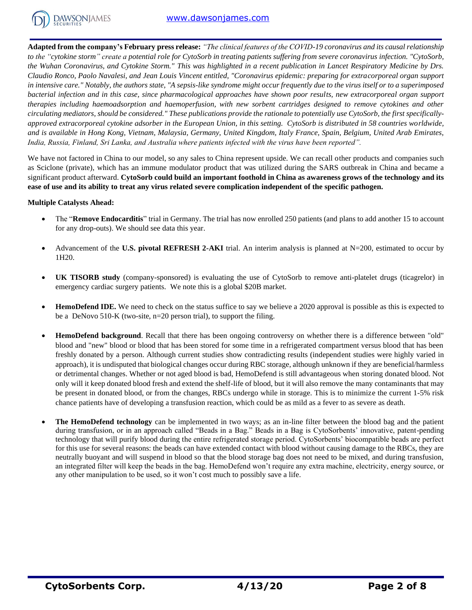

**Adapted from the company's February press release:** *"The clinical features of the COVID-19 coronavirus and its causal relationship to the "cytokine storm" create a potential role for CytoSorb in treating patients suffering from severe coronavirus infection. "CytoSorb, the Wuhan Coronavirus, and Cytokine Storm." This was highlighted in a recent publication in Lancet Respiratory Medicine by Drs. Claudio Ronco, Paolo Navalesi, and Jean Louis Vincent entitled, "Coronavirus epidemic: preparing for extracorporeal organ support in intensive care." Notably, the authors state, "A sepsis-like syndrome might occur frequently due to the virus itself or to a superimposed bacterial infection and in this case, since pharmacological approaches have shown poor results, new extracorporeal organ support therapies including haemoadsorption and haemoperfusion, with new sorbent cartridges designed to remove cytokines and other circulating mediators, should be considered." These publications provide the rationale to potentially use CytoSorb, the first specificallyapproved extracorporeal cytokine adsorber in the European Union, in this setting. CytoSorb is distributed in 58 countries worldwide, and is available in Hong Kong, Vietnam, Malaysia, Germany, United Kingdom, Italy France, Spain, Belgium, United Arab Emirates, India, Russia, Finland, Sri Lanka, and Australia where patients infected with the virus have been reported".*

We have not factored in China to our model, so any sales to China represent upside. We can recall other products and companies such as Sciclone (private), which has an immune modulator product that was utilized during the SARS outbreak in China and became a significant product afterward. **CytoSorb could build an important foothold in China as awareness grows of the technology and its ease of use and its ability to treat any virus related severe complication independent of the specific pathogen.**

#### **Multiple Catalysts Ahead:**

- The "**Remove Endocarditis**" trial in Germany. The trial has now enrolled 250 patients (and plans to add another 15 to account for any drop-outs). We should see data this year.
- Advancement of the **U.S. pivotal REFRESH 2-AKI** trial. An interim analysis is planned at  $N=200$ , estimated to occur by 1H20.
- **UK TISORB study** (company-sponsored) is evaluating the use of CytoSorb to remove anti-platelet drugs (ticagrelor) in emergency cardiac surgery patients. We note this is a global \$20B market.
- **HemoDefend IDE.** We need to check on the status suffice to say we believe a 2020 approval is possible as this is expected to be a DeNovo 510-K (two-site, n=20 person trial), to support the filing.
- **HemoDefend background**. Recall that there has been ongoing controversy on whether there is a difference between "old" blood and "new" blood or blood that has been stored for some time in a refrigerated compartment versus blood that has been freshly donated by a person. Although current studies show contradicting results (independent studies were highly varied in approach), it is undisputed that biological changes occur during RBC storage, although unknown if they are beneficial/harmless or detrimental changes. Whether or not aged blood is bad, HemoDefend is still advantageous when storing donated blood. Not only will it keep donated blood fresh and extend the shelf-life of blood, but it will also remove the many contaminants that may be present in donated blood, or from the changes, RBCs undergo while in storage. This is to minimize the current 1-5% risk chance patients have of developing a transfusion reaction, which could be as mild as a fever to as severe as death.
- **The HemoDefend technology** can be implemented in two ways; as an in-line filter between the blood bag and the patient during transfusion, or in an approach called "Beads in a Bag." Beads in a Bag is CytoSorbents' innovative, patent-pending technology that will purify blood during the entire refrigerated storage period. CytoSorbents' biocompatible beads are perfect for this use for several reasons: the beads can have extended contact with blood without causing damage to the RBCs, they are neutrally buoyant and will suspend in blood so that the blood storage bag does not need to be mixed, and during transfusion, an integrated filter will keep the beads in the bag. HemoDefend won't require any extra machine, electricity, energy source, or any other manipulation to be used, so it won't cost much to possibly save a life.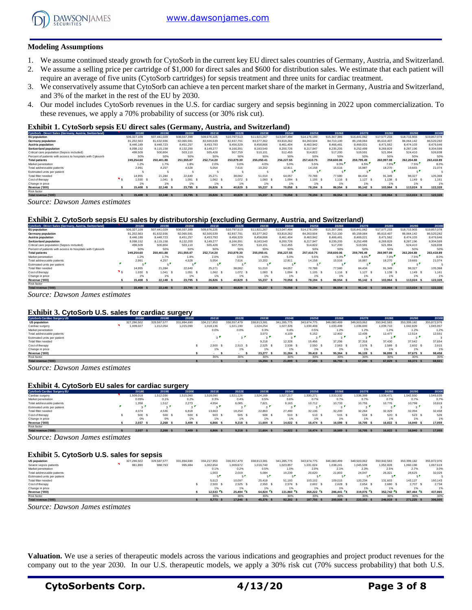

#### **Modeling Assumptions**

- 1. We assume continued steady growth for CytoSorb in the current key EU direct sales countries of Germany, Austria, and Switzerland.
- 2. We assume a selling price per cartridge of \$1,000 for direct sales and \$600 for distribution sales. We estimate that each patient will require an average of five units (CytoSorb cartridges) for sepsis treatment and three units for cardiac treatment.
- 3. We conservatively assume that CytoSorb can achieve a ten percent market share of the market in Germany, Austria and Switzerland, and 3% of the market in the rest of the EU by 2030.
- 4. Our model includes CytoSorb revenues in the U.S. for cardiac surgery and sepsis beginning in 2022 upon commercialization. To these revenues, we apply a 70% probability of success (or 30% risk cut).

#### **Exhibit 1. CytoSorb sepsis EU direct sales (Germany, Austria, and Switzerland)**

| CytoSorb - Direct Sales (Germany, Austria, Switzerland)    | 2018E       | 2019E       | 2020E       | 2021E       | 2022E       | 2023E       | 2024E       | 2025E       | 2026E          | 2027E       | 2028E       | 2029E       | 2030E       |
|------------------------------------------------------------|-------------|-------------|-------------|-------------|-------------|-------------|-------------|-------------|----------------|-------------|-------------|-------------|-------------|
| <b>EU</b> population                                       | 506,327,109 | 507.441.029 | 508,557,399 | 509.676.225 | 510.797.513 | 511.921.267 | 513.047.494 | 514.176.199 | 515,307,386    | 516.441.062 | 517.577.233 | 518,715,903 | 519,857,078 |
| Germany population                                         | 81.202.563  | 81.632.936  | 82.065.591  | 82,500,539  | 82.937.791  | 83.377.362  | 83.819.262  | 84.263.504  | 84.710.100     | 85.159.064  | 85.610.407  | 86.064.142  | 86,520,282  |
| Austria population                                         | 8.446.189   | 8.448.723   | 8,451,257   | 8.453.793   | 8.456.329   | 8,458,866   | 8,461,404   | 8,463,942   | 8.466.481      | 8,469,021   | 8.471.562   | 8.474.103   | 8,476,646   |
| <b>Switzerland population</b>                              | 8.098.152   | 8.115.158   | 8.132.200   | 8.149.277   | 8.166.391   | 8.183.540   | 8,200,726   | 8.217.947   | 8.235.205      | 8.252.499   | 8.269.829   | 8.287.196   | 8.304.599   |
| Critical care population (Sepsis included)                 | 498,509     | 500.804     | 503.110     | 505.428     | 507,759     | 510,101     | 512.455     | 514.822     | 517.200        | 519.591     | 521.994     | 524.410     | 526.838     |
| Percent of patients with access to hospitals with Cytosorb | 50%         | 50%         | 50%         | 50%         | 50%         | 50%         | 50%         | 50%         | 50%            | 50%         | 50%         | 50%         | 50%         |
| <b>Total patients</b>                                      | 249.254.60  | 250,401.88  | 251.555.07  | 252.714.20  | 253.879.30  | 255.050.41  | 256,227.55  | 257,410.75  | 258,600,06     | 259.795.49  | 260,997.08  | 262.204.88  | 263,418.89  |
| Market penetration                                         | 1.2%        | 1.7%        | 1.8%        | 2.0%        | 3.0%        | 4.0%        | 5.0%        | 5.5%        | 6.0%           | 6.5%        | 7.0%        | 7.5%        | 8.0%        |
| Total addressable patients                                 | 2.991       | 4.257       | 4.528       | 5.054       | 7.616       | 10.202      | 12.811      | 14.158      | 15,516         | 16.887      | 18,270      | 19.665      | 21.074      |
| Estimated units per patient                                |             |             |             |             |             |             |             |             | $\overline{a}$ | - 1         |             |             |             |
| Total filter needed                                        | 14.955      | 21.284      | 22.640      | 25.271      | 38,082      | 51,010      | 64.057      | 70.788      | 77,580         | 84.434      | 91.349      | 98.327      | 105,368     |
| Cost of therapy                                            | 1.030       | 1.041 S     | 1.051       | 1.062 S     | 1,072       | 1.083       | 1.094 S     | $1,105$ \$  | $1.116$ S      | $1,127$ \$  | 1,138 \$    | 1.149 S     | 1.161       |
| Change in price                                            | 1%          | 1%          | 1%          | 1%          | 1%          |             |             | 1%          | 1%             | 1%          | 1%          | 1%          | 1%          |
| Revenue ('000)                                             | 15,408      | 22.148 \$   | 23,795      | 26,826      | 40.829      | 55.237      | 70.058      | 78.194 S    | 86,554         | 95.142 \$   | 103.964 S   | 113,024 \$  | 122,328     |
| Risk factor                                                |             |             |             |             |             |             |             |             |                |             |             |             |             |
| Total revenue ('000)                                       | 15,408      | 22.148 \$   | 23,795      | 26,826      | 40.829      | 55,237      | 70.058      | 78.194 S    | 86.554         | 95.142 \$   | 103,964 S   | 113.024     | 122.328     |

*Source: Dawson James estimates*

#### **Exhibit 2. CytoSorb sepsis EU sales by distributorship (excluding Germany, Austria, and Switzerland)**

| CytoSorb - Direct Sales (Germany, Austria, Switzerland)    | 2018E         | 2019E       | 2020E         | 2021E       | 2022E       | 2023E       | 2024E       | 2025E       | 2026E       | 2027E       | 2028E       | 2029E       | 2030E       |
|------------------------------------------------------------|---------------|-------------|---------------|-------------|-------------|-------------|-------------|-------------|-------------|-------------|-------------|-------------|-------------|
| <b>EU</b> population                                       | 506.327.109   | 507.441.029 | 508,557,399   | 509.676.225 | 510.797.513 | 511.921.267 | 513.047.494 | 514.176.199 | 515.307.386 | 516.441.062 | 517.577.233 | 518,715,903 | 519,857,078 |
| Germany population                                         | 81.202.563    | 81.632.936  | 82.065.591    | 82,500,539  | 82.937.791  | 83.377.362  | 83.819.262  | 84.263.504  | 84.710.100  | 85.159.064  | 85.610.407  | 86.064.142  | 86,520,282  |
| Austria population                                         | 8.446.189     | 8,448,723   | 8.451.257     | 8.453.793   | 8,456,329   | 8,458,866   | 8,461,404   | 8,463,942   | 8.466.481   | 8,469,021   | 8.471.562   | 8.474.103   | 8,476,646   |
| Switzerland population                                     | 8.098.152     | 8,115,158   | 8,132,200     | 8.149.277   | 8,166,391   | 8,183,540   | 8,200,726   | 8.217.947   | 8.235.205   | 8.252.499   | 8,269,829   | 8.287.196   | 8.304.599   |
| Critical care population (Sepsis included)                 | 498,509       | 500.804     | 503.110       | 505.428     | 507,759     | 510,101     | 512.455     | 514.822     | 517.200     | 519.591     | 521.994     | 524.410     | 526.838     |
| Percent of patients with access to hospitals with Cytosorb | 50%           | 50%         | 50%           | 50%         | 50%         | 50%         | 50%         | 50%         | 50%         | 50%         | 50%         | 50%         | 50%         |
| <b>Total patients</b>                                      | 249.254.60    | 250,401.88  | 251.555.07    | 252.714.20  | 253.879.30  | 255.050.41  | 256.227.55  | 257,410.75  | 258,600,06  | 259.795.49  | 260.997.08  | 262.204.88  | 263,418.89  |
| Market penetration                                         | 1.2%          | 1.7%        | 1.8%          | 2.0%        | 3.0%        | 4.0%        | 5.0%        | 5.5%        | 6.0%        | 6.5%        | 7.0%        | 7.5%        | 8.0%        |
| Total addressable patients                                 | 2.991         | 4.257       | 4.528         | 5.054       | 7.616       | 10.202      | 12.811      | 14.158      | 15,516      | 16.887      | 18.270      | 19.665      | 21.074      |
| Estimated units per patient                                | - -           |             |               |             | ×.          |             |             |             |             | - 1         |             |             |             |
| Total filter needed                                        | 14.955        | 21.284      | 22.640        | 25.271      | 38,082      | 51,010      | 64.057      | 70.788      | 77,580      | 84.434      | 91.349      | 98.327      | 105,368     |
| Cost of therapy                                            | 1.030         | 1.041 S     | 1.051         | 1.062 S     | $1,072$ \$  | 1.083       | 1.094 S     | 1.105 S     | $1.116$ S   | $1,127$ \$  | 1.138 S     | 1.149 S     | 1.161       |
| Change in price                                            | 1%            | 1%          | 1%            | 1%          | 1%          | 1%          |             | 1%          | 1%          | 1%          | 1%          | 1%          | 1%          |
| Revenue ('000)                                             | 15,408<br>- 5 | 22.148 \$   | 23.795<br>- 5 | 26.826 S    | 40.829      | 55.237      | 70.058      | 78.194 S    | 86,554      | 95.142 \$   | 103.964 S   | 113,024 \$  | 122,328     |
| Risk factor                                                |               |             |               |             |             |             |             |             |             |             |             |             |             |
| Total revenue ('000)                                       | 15,408 S      | 22.148 \$   | 23.795 \$     | 26.826 S    | 40.829      | 55,237      | 70.058 \$   | 78.194 S    | 86.554 \$   | 95.142 \$   | 103.964 S   | 113,024 \$  | 122.328     |

*Source: Dawson James estimates*

#### **Exhibit 3. CytoSorb U.S. sales for cardiac surgery**

| Exhibit 3. CytoSorb U.S. sales for cardiac surgery |             |             |             |             |               |             |             |             |             |             |             |             |             |
|----------------------------------------------------|-------------|-------------|-------------|-------------|---------------|-------------|-------------|-------------|-------------|-------------|-------------|-------------|-------------|
| <b>CytoSorb Cardiac Surgery US</b>                 | 2018E       | 2019E       | 2020E       | 2021E       | 2022E         | 2023E       | 2024E       | 2025E       | 2026E       | 2027E       | 2028E       | 2029E       | 2030E       |
| <b>US population</b>                               | 327,296,502 | 329,587,577 | 331.894.690 | 334.217.953 | 336.557.479   | 338,913,381 | 341,285,775 | 343.674.775 | 346,080,499 | 348,503,062 | 350,942,583 | 353,399,182 | 355,872,976 |
| Cardiac surgery                                    | 009,027     | 1,012,054   | 1,015,090   | 1.018.136   | 1,021,190     | 1.024.254   | 1,027,326   | 1.030.408   | 1.033.499   | 1,036,600   | 1,039,710   | 1.042.829   | 1.045.957   |
| Market penetration                                 |             |             |             | 0.0%        | 0.0%          | 0.3%        | 0.4%        | 0.5%        | 1.2%        | 1.2%        | 1.2%        | 1.2%        | 1.2%        |
| Total addressable patients                         |             |             |             |             |               | 3.073       | 4.109       | 5.152       | 12,402      | 12.439      | 12.477      | 12.514      | 12,551      |
| Estimated units per patient                        |             |             |             | - F         | $\sim$ $\sim$ |             | . .         |             | $\sim$ 1    | $\sim$      |             | $\sim$      |             |
| Total filter needed                                |             |             |             |             |               | 9.218       | 12.328      | 15,456      | 37,206      | 37,318      | 37,430      | 37.542      | 37.654      |
| Cost of therapy                                    |             |             |             | 2.500       | 2.513         | 2.525       | 2.538       | 2.550 S     | 2.563 S     | 2.576 S     | 2.589 S     | 2.602 S     | 2.615       |
| Change in price                                    |             |             |             | 1%          | 1%            | 1%          | 1%          | 1%          | 1%          | 1%          | 1%          | 1%          | 1%          |
| Revenue ('000)                                     |             |             |             |             |               | 23,277 \$   | 31.284 S    | 39.419 S    | 95.364 \$   | 96.128 \$   | 96.899 S    | 97.675 \$   | 98,458      |
| Risk factor                                        |             |             |             | 30%         | 30%           | 30%         | 30%         | 30%         | 30%         | 30%         | 30%         | 30%         | 30%         |
| Total revenue ('000)                               |             |             |             |             |               | 16.294 \$   | 21,899 \$   | 27.593 S    | 66.755 \$   | 67.290 \$   | 67.829 S    | 68,373 \$   | 68,921      |

*Source: Dawson James estimates*

#### **Exhibit 4. CytoSorb EU sales for cardiac surgery**

| <b>Exhibit 4. CytoSorb EU sales for cardiac surgery</b><br><b>CytoSorb Cardiac Surgery EU</b> | 2018E    | 2019E     | 2020E     | 2021E     | 2022E         | 2023E     | 2024E     | 2025E     | 2026E     | 2027E     | 2028E     | 2029E          | 2030E     |
|-----------------------------------------------------------------------------------------------|----------|-----------|-----------|-----------|---------------|-----------|-----------|-----------|-----------|-----------|-----------|----------------|-----------|
| Cardiac surgery                                                                               | .509,018 | 1.512.036 | 1,515,060 | 1.518.090 | 1.521.126     | 1,524,169 | 1.527.217 | 1.530.271 | 1,533,332 | 1,536,399 | 1.539.471 | 1.542.550      | 1.545.635 |
| Market penetration                                                                            | 0.09%    | 0.1%      | 0.2%      | 0.3%      | 0.4%          | 0.5%      | 0.6%      | 0.7%      | 0.7%      | 0.7%      | 0.7%      | 0.7%           | 0.7%      |
| Total addressable patients                                                                    | 1.358    | 1,512     | 2.273     | 4.554     | 6.085         | 7.621     | 9,163     | 10.712    | 10.733    | 10.755    | 10.776    | 10.798         | 10,819    |
| Estimated units per patient                                                                   | $\sim$   |           |           |           | $\sim$ $\sim$ | $\sim$    |           |           | $\sim$    | $\sim$    |           | $\sim$         |           |
| Total filter needed                                                                           | 4.074    | 4.536     | 6.818     | 13.663    | 18.254        | 22.863    | 27,490    | 32.136    | 32.200    | 32.264    | 32.329    | 32.394         | 32.458    |
| Cost of therapy                                                                               | 500 S    | 500 \$    | 500       | 503 S     | 505 \$        | 508       | 510 S     | 513 S     | 515 \$    | 518 S     | 520       | 523 \$         | 526       |
| Change in price                                                                               | 0%       | 0%        | 1%        | 1%        | 1%            | 1%        | 1%        | 1%        | 1%        | 1%        | 1%        | 1%             | 1%        |
| Revenue ('000)                                                                                | 2.037    | 2.268     | 3.409     | 6,866     | 9.218         | 11,604    | 14.022 \$ | 16.474 S  | 16,589    | 16.705 \$ | 16.822 S  | 16,940<br>- \$ | 17,059    |
| Risk factor                                                                                   |          |           |           |           |               |           |           |           |           |           |           |                |           |
| Total revenue ('000)                                                                          | 2.037    | 2.268S    | 3,409     | 6.866 S   | 9.218         | 11,604 \$ | 14.022 \$ | 16,474 S  | 16,589 \$ | 16.705 \$ | 16.822 S  | 16,940 \$      | 17,059    |

*Source: Dawson James estimates*

| Exhibit 5. CytoSorb U.S. sales for sepsis |             |             |             |             |             |             |             |             |             |             |             |             |             |
|-------------------------------------------|-------------|-------------|-------------|-------------|-------------|-------------|-------------|-------------|-------------|-------------|-------------|-------------|-------------|
| <b>US population</b>                      | 327.296.502 | 329.587.577 | 331.894.690 | 334.217.953 | 336.557.479 | 338.913.381 | 341.285.775 | 343.674.775 | 346,080,499 | 348,503,062 | 350.942.583 | 353.399.182 | 355,872,976 |
| Severe sepsis patients                    | 981,890     | 988,763     | 995,684     | 1.002.654   | 1,009,672   | 1.016.740   | 1,023,857   | 1.031.024   | 1.038.241   | 1,045,509   | 1,052,828   | 1.060.198   | 1.067.619   |
| Market penetration                        |             |             |             | 0.1%        | 0.2%        | 0.5%        | 1.0%        | 2.0%        | 2.1%        | 2.3%        | 2.5%        | 2.7%        | 3.0%        |
| Total addressable patients                |             |             |             | 1.003       | 2.019       | 5.084       | 10,239      | 20,620      | 21,803      | 24.047      | 26,321      | 28.625      | 32.029      |
| Estimated units per patient               |             |             |             |             | к.          |             |             |             |             | - -         |             |             |             |
| Total filter needed                       |             |             |             | 5.013       | 10.097      | 25.419      | 51.193      | 103.102     | 109.015     | 120.234     | 131.603     | 143.127     | 160.143     |
| Cost of therapy                           |             |             |             | 2.500 S     | 2.525       | $2.550$ \$  | 2.576S      | 2.602 S     | 2.628 S     | 2.654 S     | 2.680S      | 2.707 \$    | 2.734       |
| Change in price                           |             |             |             |             |             |             |             | 1%          | 1%          | 1%          | 1%          |             | 1%          |
| Revenue ('000)                            |             |             |             | 12.533 S    | $25.494$ S  | 64.824 S    | 131.860     | 268.222 S   | 286.441 S   | 319,076     | 352.742 S   | 387.464 S   | 437,865     |
| Risk factor                               |             |             |             | 30%         | 30%         | 30%         | 30%         | 30%         | 30%         | 30%         | 30%         | 30%         | 30%         |
| Total revenue ('000)                      |             |             |             | 8.773       | 17,846      | 45.376 \$   | 92,302      | 187,755 \$  | 200.508     | 223,353     | 246,919 S   | 271.225 \$  | 306.505     |

*Source: Dawson James estimates*

**Valuation.** We use a series of therapeutic models across the various indications and geographies and project product revenues for the company out to the year 2030. In our U.S. therapeutic models, we apply a 30% risk cut (70% success probability) that both U.S.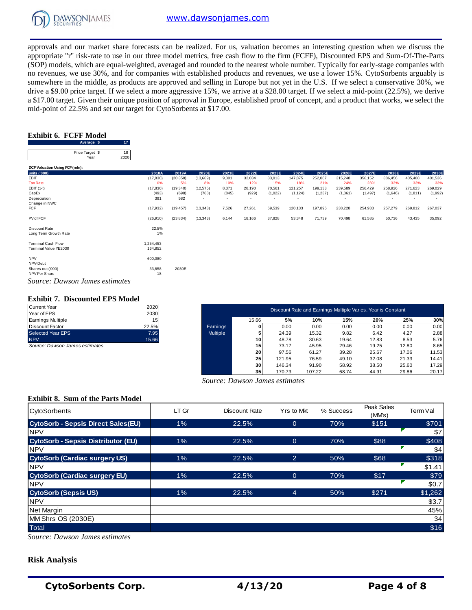

approvals and our market share forecasts can be realized. For us, valuation becomes an interesting question when we discuss the appropriate "r" risk-rate to use in our three model metrics, free cash flow to the firm (FCFF), Discounted EPS and Sum-Of-The-Parts (SOP) models, which are equal-weighted, averaged and rounded to the nearest whole number. Typically for early-stage companies with no revenues, we use 30%, and for companies with established products and revenues, we use a lower 15%. CytoSorbents arguably is somewhere in the middle, as products are approved and selling in Europe but not yet in the U.S. If we select a conservative 30%, we drive a \$9.00 price target. If we select a more aggressive 15%, we arrive at a \$28.00 target. If we select a mid-point (22.5%), we derive a \$17.00 target. Given their unique position of approval in Europe, established proof of concept, and a product that works, we select the a 917.00 dage. Siven then dingde position of approval in Ediope,<br>mid-point of 22.5% and set our target for CytoSorbents at \$17.00.<br>**Exhibit 6. FCFF Model**<br>Price Tagge **\$** 17<br>Price Tagge **\$** 18

#### **Exhibit 6. FCFF Model**

| 18  |
|-----|
| 202 |
|     |

| Average a<br>- 17              |           |           |           |       |        |         |                          |         |         |          |         |          |         |
|--------------------------------|-----------|-----------|-----------|-------|--------|---------|--------------------------|---------|---------|----------|---------|----------|---------|
| Price Target \$<br>18          |           |           |           |       |        |         |                          |         |         |          |         |          |         |
| 2020<br>Year                   |           |           |           |       |        |         |                          |         |         |          |         |          |         |
| DCF Valuation Using FCF (mln): |           |           |           |       |        |         |                          |         |         |          |         |          |         |
| units ('000)                   | 2018A     | 2019A     | 2020E     | 2021E | 2022E  | 2023E   | 2024E                    | 2025E   | 2026E   | 2027E    | 2028E   | 2029E    | 2030E   |
| EBIT                           | (17, 830) | (20, 358) | (13,669)  | 9,301 | 32,034 | 83,013  | 147,875                  | 252,067 | 315,248 | 356,152  | 386,456 | 405,408  | 401,536 |
| <b>Tax Rate</b>                | 0%        | 5%        | 8%        | 10%   | 12%    | 15%     | 18%                      | 21%     | 24%     | 28%      | 33%     | 33%      | 33%     |
| EBIT (1-t)                     | (17, 830) | (19, 340) | (12, 575) | 8,371 | 28,190 | 70,561  | 121,257                  | 199,133 | 239,589 | 256,429  | 258,926 | 271,623  | 269,029 |
| CapEx                          | (493)     | (698)     | (768)     | (845) | (929)  | (1,022) | (1, 124)                 | (1,237) | (1,361) | (1, 497) | (1,646) | (1, 811) | (1,992) |
| Depreciation                   | 391       | 582       |           |       | $\sim$ |         | $\overline{\phantom{0}}$ |         |         |          |         |          |         |
| Change in NWC                  |           |           |           |       |        |         |                          |         |         |          |         |          |         |
| <b>FCF</b>                     | (17, 932) | (19, 457) | (13, 343) | 7,526 | 27,261 | 69,539  | 120,133                  | 197,896 | 238,228 | 254,933  | 257,279 | 269,812  | 267,037 |
| PV of FCF                      | (26, 910) | (23, 834) | (13, 343) | 6,144 | 18,166 | 37,828  | 53,348                   | 71,739  | 70,498  | 61,585   | 50,736  | 43,435   | 35,092  |
| Discount Rate                  | 22.5%     |           |           |       |        |         |                          |         |         |          |         |          |         |
| Long Term Growth Rate          | 1%        |           |           |       |        |         |                          |         |         |          |         |          |         |
| <b>Terminal Cash Flow</b>      | 1,254,453 |           |           |       |        |         |                          |         |         |          |         |          |         |
| Terminal Value YE2030          | 164,852   |           |           |       |        |         |                          |         |         |          |         |          |         |
| <b>NPV</b>                     | 600,080   |           |           |       |        |         |                          |         |         |          |         |          |         |
| NPV-Debt                       |           |           |           |       |        |         |                          |         |         |          |         |          |         |
| Shares out ('000)              | 33,858    | 2030E     |           |       |        |         |                          |         |         |          |         |          |         |
| NPV Per Share                  | 18        |           |           |       |        |         |                          |         |         |          |         |          |         |
| Source: Dawson James estimates |           |           |           |       |        |         |                          |         |         |          |         |          |         |

#### **Exhibit 7. Discounted EPS Model**

| <b>Current Year</b>      | 2020  |
|--------------------------|-------|
| Year of EPS              | 2030  |
| <b>Earnings Multiple</b> | 15    |
| <b>Discount Factor</b>   | 22.5% |
| <b>Selected Year EPS</b> | 7.95  |
| <b>NPV</b>               | 15.66 |

| <b>Exhibit 7. Discounted EPS Model</b><br>Current Year | 2020  |                 |       |        | Discount Rate and Earnings Multiple Varies, Year is Constant |       |       |       |       |
|--------------------------------------------------------|-------|-----------------|-------|--------|--------------------------------------------------------------|-------|-------|-------|-------|
| Year of EPS                                            | 2030  |                 |       |        |                                                              |       |       |       |       |
| Earnings Multiple                                      | 15    |                 | 15.66 | 5%     | 10%                                                          | 15%   | 20%   | 25%   | 30%   |
| Discount Factor                                        | 22.5% | Earnings        |       | 0.00   | 0.00                                                         | 0.00  | 0.00  | 0.00  | 0.00  |
| Selected Year EPS                                      | 7.95  | <b>Multiple</b> |       | 24.39  | 15.32                                                        | 9.82  | 6.42  | 4.27  | 2.88  |
| <b>NPV</b>                                             | 15.66 |                 | 10    | 48.78  | 30.63                                                        | 19.64 | 12.83 | 8.53  | 5.76  |
| Source: Dawson James estimates                         |       |                 | 15    | 73.17  | 45.95                                                        | 29.46 | 19.25 | 12.80 | 8.65  |
|                                                        |       |                 | 20    | 97.56  | 61.27                                                        | 39.28 | 25.67 | 17.06 | 11.53 |
|                                                        |       |                 | 25    | 121.95 | 76.59                                                        | 49.10 | 32.08 | 21.33 | 14.41 |
|                                                        |       |                 | 30    | 146.34 | 91.90                                                        | 58.92 | 38.50 | 25.60 | 17.29 |
|                                                        |       |                 | 35    | 170.73 | 107.22                                                       | 68.74 | 44.91 | 29.86 | 20.17 |

 *Source: Dawson James estimates*

#### **Exhibit 8. Sum of the Parts Model**

| <b>CytoSorbents</b>                       | LT Gr | Discount Rate | Yrs to Mkt     | % Success | Peak Sales<br>(MMs) | Term Val |
|-------------------------------------------|-------|---------------|----------------|-----------|---------------------|----------|
| <b>CytoSorb - Sepsis Direct Sales(EU)</b> | 1%    | 22.5%         | $\Omega$       | 70%       | \$151               | \$701    |
| <b>NPV</b>                                |       |               |                |           |                     | \$7      |
| <b>CytoSorb - Sepsis Distributor (EU)</b> | $1\%$ | 22.5%         | $\overline{0}$ | 70%       | \$88                | \$408    |
| <b>NPV</b>                                |       |               |                |           |                     | \$4      |
| <b>CytoSorb (Cardiac surgery US)</b>      | 1%    | 22.5%         | $\overline{2}$ | 50%       | \$68                | \$318    |
| <b>NPV</b>                                |       |               |                |           |                     | \$1.41   |
| <b>CytoSorb (Cardiac surgery EU)</b>      | 1%    | 22.5%         | $\Omega$       | 70%       | \$17                | \$79     |
| <b>NPV</b>                                |       |               |                |           |                     | \$0.7    |
| <b>CytoSorb (Sepsis US)</b>               | $1\%$ | 22.5%         | $\overline{4}$ | 50%       | \$271               | \$1,262  |
| <b>NPV</b>                                |       |               |                |           |                     | \$3.7    |
| <b>Net Margin</b>                         |       |               |                |           |                     | 45%      |
| MM Shrs OS (2030E)                        |       |               |                |           |                     | 34       |
| <b>Total</b>                              |       |               |                |           |                     | \$16     |

*Source: Dawson James estimates*

### **Risk Analysis**

**CytoSorbents Corp. 4/13/20 Page 4 of 8**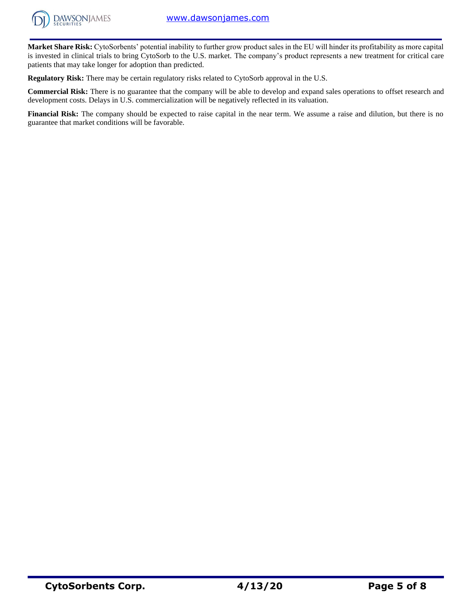

**Market Share Risk:** CytoSorbents' potential inability to further grow product sales in the EU will hinder its profitability as more capital is invested in clinical trials to bring CytoSorb to the U.S. market. The company's product represents a new treatment for critical care patients that may take longer for adoption than predicted.

**Regulatory Risk:** There may be certain regulatory risks related to CytoSorb approval in the U.S.

**Commercial Risk:** There is no guarantee that the company will be able to develop and expand sales operations to offset research and development costs. Delays in U.S. commercialization will be negatively reflected in its valuation.

**Financial Risk:** The company should be expected to raise capital in the near term. We assume a raise and dilution, but there is no guarantee that market conditions will be favorable.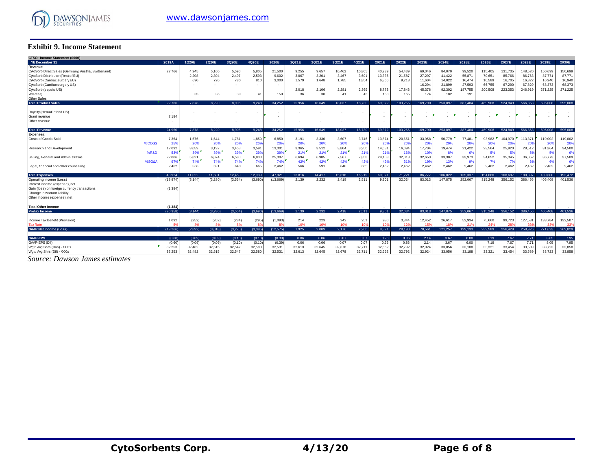

#### **Exhibit 9. Income Statement**

| <b>Exhibit 9. Income Statement</b>                                                         |              |                |                |                |                       |                 |                |                |                 |                 |                  |                  |                  |                  |                 |                   |                   |                   |                   |                   |
|--------------------------------------------------------------------------------------------|--------------|----------------|----------------|----------------|-----------------------|-----------------|----------------|----------------|-----------------|-----------------|------------------|------------------|------------------|------------------|-----------------|-------------------|-------------------|-------------------|-------------------|-------------------|
| CTSO.: Income Statement (\$000)                                                            |              |                |                |                |                       |                 |                |                |                 |                 |                  |                  |                  |                  |                 |                   |                   |                   |                   |                   |
| .: YE December 31                                                                          | 2019A        | 1Q20E          | 2Q20E          | 3Q20E          | 4Q20E                 | 2020E           | 1Q21E          | 2Q21E          | 3Q21E           | 4Q21E           | 2021E            | 2022E            | 2023E            | 2024E            | 2025E           | 2026E             | 2027E             | 2028E             | 2029E             | 2030E             |
| Revenue:                                                                                   |              |                |                |                |                       |                 |                |                |                 |                 |                  |                  |                  |                  |                 |                   |                   |                   |                   |                   |
| CytoSorb Direct Sales (Germany, Austria, Switzerland)<br>CytoSorb Distributor (Rest of EU) | 22,766       | 4.945<br>2,208 | 5,160<br>2,304 | 5,590<br>2,497 | 5,805<br>2,593        | 21,500<br>9,602 | 9,255<br>3,067 | 9,657<br>3,20' | 10,462<br>3,467 | 10,865<br>3,601 | 40,239<br>13,336 | 54,439<br>21,587 | 69,046<br>27,297 | 84,070<br>41,422 | 99,520<br>55,87 | 115,405<br>70,651 | 131,735<br>85,766 | 148,520<br>86,763 | 150,699<br>87,771 | 150,699<br>87,771 |
| CytoSorb (Cardiac surgery EU)                                                              |              | 690            | 720            | 780            | 810                   | 3.000           | 1.579          | 1,648          | 1,785           | 1,854           | 6,866            | 9,218            | 11,604           | 14.022           | 16,474          | 16,589            | 16,705            | 16,822            | 16,940            | 16,940            |
| CytoSorb (Cardiac surgery US)                                                              |              |                |                | $\sim$         |                       | ٠               |                | ٠              | . .             |                 | $\sim$           | $\sim$           | 16,294           | 21,899           | 27,593          | 66,755            | 67,290            | 67,829            | 68,373            | 68,373            |
| CytoSorb (sepsis US)                                                                       |              |                |                |                |                       |                 | 2.018          | 2,106          | 2,281           | 2,369           | 8,773            | 17,846           | 45,376           | 92.302           | 187,755         | 200,508           | 223,353           | 246.919           | 271,225           | 271,225           |
| VetResQ                                                                                    |              | 35             | 36             | 39             | 41                    | 150             | 36             | 38             | 41              | 43              | 158              | 165              | 174              | 182              | 191             |                   |                   |                   |                   |                   |
| Other Sales                                                                                |              |                |                |                |                       |                 |                |                |                 |                 |                  |                  |                  |                  |                 |                   |                   |                   |                   |                   |
| <b>Total Product Sales</b>                                                                 | 22.766       | 7.878          | 8.220          | 8.906          | 9.248                 | 34.252          | 15.956         | 16.649         | 18.037          | 18.730          | 69.372           | 103.255          | 169.790          | 253.897          | 387.404         | 469.908           | 524.849           | 566.853           | 595.008           | 595,008           |
| Royalty (HemoDefend US)                                                                    |              |                |                |                |                       |                 |                |                |                 |                 | ٠.               |                  |                  |                  |                 |                   |                   |                   |                   |                   |
| Grant revenue                                                                              | 2.184        |                |                |                |                       |                 |                |                |                 |                 |                  |                  |                  |                  |                 |                   |                   |                   |                   |                   |
| Other revenue                                                                              |              |                |                |                |                       |                 |                |                |                 |                 | $\sim$           | ٠                |                  |                  |                 | ٠                 |                   |                   |                   |                   |
|                                                                                            |              |                |                |                |                       |                 |                |                |                 |                 |                  |                  |                  |                  |                 |                   |                   |                   |                   |                   |
| <b>Total Revenue</b>                                                                       | 24.950       | 7.878          | 8.220          | 8.906          | 9,248                 | 34.252          | 15.956         | 16.649         | 18.037          | 18,730          | 69.372           | 103.255          | 169,790          | 253.897          | 387.404         | 469.908           | 524.849           | 566.853           | 595,008           | 595,008           |
| <b>Expenses:</b>                                                                           |              |                |                |                |                       |                 |                |                |                 |                 |                  |                  |                  |                  |                 |                   |                   |                   |                   |                   |
| Costs of Goods Sold<br>%COG                                                                | 7,364<br>25% | 1,576<br>20%   | 1.644<br>20%   | 1,781<br>20%   | 1,850<br>20%          | 6,850<br>20%    | 3,191<br>20%   | 3,330<br>20%   | 3,607<br>20%    | 3.746<br>20%    | 13,874<br>20%    | 20,651<br>20%    | 33,958<br>20%    | 50.779<br>20%    | 77,481<br>20%   | 93,982<br>20%     | 104,970<br>20%    | 113,371<br>20%    | 119,002<br>20%    | 119,002<br>20%    |
| Research and Development                                                                   | 12,092       | 3,059          | 3,192          | 3,458          | 3,591                 | 13,301          | 3,365          | 3,512          | 3,804           | 3,950           | 14,631           | 16,094           | 17,704           | 19,474           | 21,422          | 23,564            | 25,920            | 28,512            | 31,364            | 34,500            |
| %R&                                                                                        | 53%          | 39%            | 39%            | 39%            | 39%                   | 39%             | $21\%$         | 21%            | 21%             | 219             | 21%              | 16%              | 10%              | 8%               | 63              | - 5%              | -5%               | 5%                | 53                | 6%                |
| Selling, General and Administrative                                                        | 22,006       | 5,821          | 6,074          | 6,580          | 6,833                 | 25,307          | 6,694          | 6,985          | 7,567           | 7,858           | 29,103           | 32,013           | 32,653           | 33,307           | 33,973          | 34,652            | 35,345            | 36,052            | 36,773            | 37,509            |
| %SG&                                                                                       | 97           | 74%            | 74%            | 74%            | 74%                   | 74%             | 42%            | 42%            | 42%             | 42%             | 42%              | 319              | 19%              | 13%              | 9%              |                   | - 7%              | 6%                |                   | 6%                |
| Legal, financial and other counseling                                                      | 2,462        | 566            | 591            | 640            | 665                   | 2,462           | 566            | 591            | 640             | 665             | 2,462            | 2,462            | 2,462            | 2,462            | 2.462           | 2.462             | 2.462             | 2,462             | 2.462             | 2,462             |
| <b>Total Expenses</b>                                                                      | 43.924       | 11.022         | 11.501         | 12.459         | 12.939                | 47.921          | 13.816         | 14.417         | 15.618          | 16.219          | 60.071           | 71.221           | 86,777           | 106.022          | 135,337         | 154.660           | 168.697           | 180.397           | 189,600           | 193.472           |
| Operating Income (Loss)                                                                    | (18, 974)    | (3.144)        | (3,280)        | (3,554)        | (3.690)               | (13.669)        | 2.139          | 2,232          | 2.418           | 2.511           | 9.301            | 32.034           | 83.013           | 147.875          | 252.067         | 315.248           | 356.152           | 386.456           | 405.408           | 401,536           |
| Interest income (expense), net                                                             |              |                |                |                |                       |                 |                |                |                 |                 |                  |                  |                  |                  |                 |                   |                   |                   |                   |                   |
| Gain (loss) on foreign currency transactions                                               | (1, 384)     |                |                |                |                       |                 |                |                |                 |                 |                  |                  |                  |                  |                 |                   |                   |                   |                   |                   |
| Change in warrant liability                                                                |              |                |                |                |                       |                 |                |                |                 |                 |                  |                  |                  |                  |                 |                   |                   |                   |                   |                   |
| Other income (expense), net                                                                |              |                |                |                |                       |                 |                |                |                 |                 |                  |                  |                  |                  |                 |                   |                   |                   |                   |                   |
| <b>Total Other Income</b>                                                                  | (1.384)      |                |                |                |                       |                 |                |                |                 |                 |                  |                  |                  |                  |                 |                   |                   |                   |                   |                   |
| <b>Pretax Income</b>                                                                       | (20.358)     | (3.144)        | (3.280)        | (3.554)        | (3.690)               | (13.669)        | 2.139          | 2.232          | 2.418           | 2.511           | 9.301            | 32.034           | 83.013           | 147.875          | 252.067         | 315,248           | 356.152           | 386,456           | 405.408           | 401.536           |
|                                                                                            |              |                |                |                |                       |                 |                |                |                 |                 |                  |                  |                  |                  |                 |                   |                   |                   |                   |                   |
| Income Tax Benefit (Provision)                                                             | 1,092        | (252)          | (262)          | (284)          | (295)                 | (1,093)         | 214            | 223            | 242             | 251             | 930              | 3,844            | 12,452           | 26,617           | 52,934          | 75,660            | 99,723            | 127,531           | 133.784           | 132,507           |
| <b>Tax Rate</b>                                                                            | 59           | 8%             | 8%             | 8%             | $\mathbf{R}^{\prime}$ | 83              | 10%            | 10%            | 10%             | 10%             | 10 <sup>6</sup>  | 12 <sup>5</sup>  | 15%              | 18%              | 21 <sup>1</sup> |                   | 28                | 339               | 33                | 339               |
| <b>GAAP Net Income (Loss)</b>                                                              | (19, 266)    | (2.892)        | (3,018)        | (3,270)        | (3, 395)              | (12, 575)       | 1.925          | 2.009          | 2.176           | 2.260           | 8,371            | 28,190           | 70,561           | 121,257          | 199,133         | 239.589           | 256,429           | 258,926           | 271,623           | 269,029           |
| <b>GAAP-EPS</b>                                                                            | (0.60)       | (0.09)         | (0.09)         | (0.10)         | (0.10)                | (0.39)          | 0.06           | 0.06           | 0.07            | 0.07            | 0.26             | 0.86             | 2.14             | 3.67             | 6.00            | 7.19              | 7.67              | 7.71              | 8.05              | 7.95              |
| GAAP-EPS (Dil)                                                                             | (0.60)       | (0.09)         | (0.09)         | (0.10)         | (0.10)                | (0.39)          | 0.06           | 0.06           | 0.07            | 0.07            | 0.26             | 0.86             | 2.14             | 3.67             | 6.00            | 7.19              | 7.67              | 7.71              | 8.05              | 7.95              |
| Wgtd Avg Shrs (Bas) - '000s                                                                | 32,253       | 32,482         | 32,515         | 32,547         | 32,580                | 32,531          | 32,613         | 32,645         | 32,678          | 32,711          | 32,662           | 32,792           | 32,924           | 33,056           | 33,188          | 33,321            | 33,454            | 33,589            | 33,723            | 33,858            |
| Wgtd Avg Shrs (Dil) - '000s                                                                | 32.253       | 32.482         | 32.515         | 32.547         | 32.580                | 32.531          | 32.613         | 32.645         | 32.678          | 32.711          | 32.662           | 32.792           | 32.924           | 33.056           | 33.188          | 33.321            | 33.454            | 33,589            | 33.723            | 33.858            |

*Source: Dawson James estimates*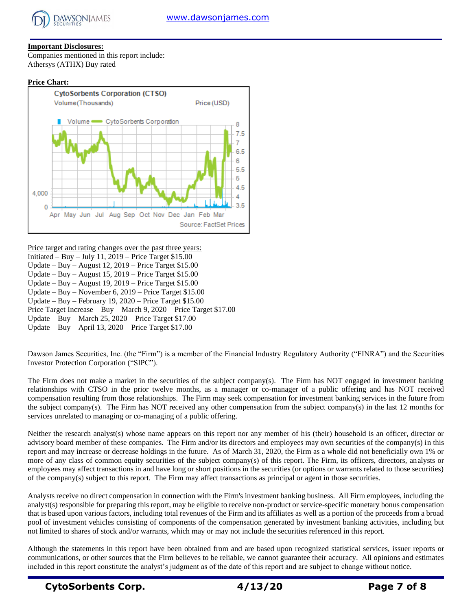

## **Important Disclosures:**

Companies mentioned in this report include: Athersys (ATHX) Buy rated

#### **Price Chart:**



Price target and rating changes over the past three years:

- Initiated Buy July 11, 2019 Price Target \$15.00
- Update Buy August 12, 2019 Price Target \$15.00
- Update Buy August 15,  $2019$  Price Target \$15.00
- Update Buy August 19, 2019 Price Target \$15.00
- Update Buy November 6, 2019 Price Target \$15.00
- Update Buy February 19, 2020 Price Target \$15.00
- Price Target Increase Buy March 9, 2020 Price Target \$17.00

Update – Buy – March 25, 2020 – Price Target \$17.00

Update – Buy – April 13, 2020 – Price Target \$17.00

Dawson James Securities, Inc. (the "Firm") is a member of the Financial Industry Regulatory Authority ("FINRA") and the Securities Investor Protection Corporation ("SIPC").

The Firm does not make a market in the securities of the subject company(s). The Firm has NOT engaged in investment banking relationships with CTSO in the prior twelve months, as a manager or co-manager of a public offering and has NOT received compensation resulting from those relationships. The Firm may seek compensation for investment banking services in the future from the subject company(s). The Firm has NOT received any other compensation from the subject company(s) in the last 12 months for services unrelated to managing or co-managing of a public offering.

Neither the research analyst(s) whose name appears on this report nor any member of his (their) household is an officer, director or advisory board member of these companies. The Firm and/or its directors and employees may own securities of the company(s) in this report and may increase or decrease holdings in the future. As of March 31, 2020, the Firm as a whole did not beneficially own 1% or more of any class of common equity securities of the subject company(s) of this report. The Firm, its officers, directors, analysts or employees may affect transactions in and have long or short positions in the securities (or options or warrants related to those securities) of the company(s) subject to this report. The Firm may affect transactions as principal or agent in those securities.

Analysts receive no direct compensation in connection with the Firm's investment banking business. All Firm employees, including the analyst(s) responsible for preparing this report, may be eligible to receive non-product or service-specific monetary bonus compensation that is based upon various factors, including total revenues of the Firm and its affiliates as well as a portion of the proceeds from a broad pool of investment vehicles consisting of components of the compensation generated by investment banking activities, including but not limited to shares of stock and/or warrants, which may or may not include the securities referenced in this report.

Although the statements in this report have been obtained from and are based upon recognized statistical services, issuer reports or communications, or other sources that the Firm believes to be reliable, we cannot guarantee their accuracy. All opinions and estimates included in this report constitute the analyst's judgment as of the date of this report and are subject to change without notice.